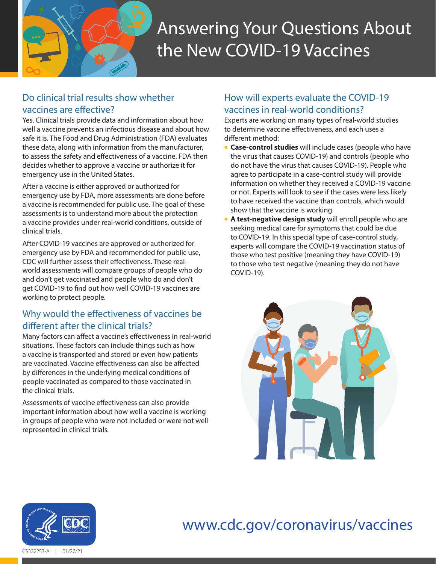

# Answering Your Questions About the New COVID-19 Vaccines

## Do clinical trial results show whether vaccines are effective?

Yes. Clinical trials provide data and information about how well a vaccine prevents an infectious disease and about how safe it is. The Food and Drug Administration (FDA) evaluates these data, along with information from the manufacturer, to assess the safety and effectiveness of a vaccine. FDA then decides whether to approve a vaccine or authorize it for emergency use in the United States.

After a vaccine is either approved or authorized for emergency use by FDA, more assessments are done before a vaccine is recommended for public use. The goal of these assessments is to understand more about the protection a vaccine provides under real-world conditions, outside of clinical trials.

After COVID-19 vaccines are approved or authorized for emergency use by FDA and recommended for public use, CDC will further assess their effectiveness. These realworld assessments will compare groups of people who do and don't get vaccinated and people who do and don't get COVID-19 to find out how well COVID-19 vaccines are working to protect people.

## Why would the effectiveness of vaccines be different after the clinical trials?

Many factors can affect a vaccine's effectiveness in real-world situations. These factors can include things such as how a vaccine is transported and stored or even how patients are vaccinated. Vaccine effectiveness can also be affected by differences in the underlying medical conditions of people vaccinated as compared to those vaccinated in the clinical trials.

Assessments of vaccine effectiveness can also provide important information about how well a vaccine is working in groups of people who were not included or were not well represented in clinical trials.

# How will experts evaluate the COVID-19 vaccines in real-world conditions?

Experts are working on many types of real-world studies to determine vaccine effectiveness, and each uses a different method:

- **Case-control studies** will include cases (people who have the virus that causes COVID-19) and controls (people who do not have the virus that causes COVID-19). People who agree to participate in a case-control study will provide information on whether they received a COVID-19 vaccine or not. Experts will look to see if the cases were less likely to have received the vaccine than controls, which would show that the vaccine is working.
- **A test-negative design study** will enroll people who are seeking medical care for symptoms that could be due to COVID-19. In this special type of case-control study, experts will compare the COVID-19 vaccination status of those who test positive (meaning they have COVID-19) to those who test negative (meaning they do not have COVID-19).





### [www.cdc.gov/coronavirus/vaccines](http://www.cdc.gov/coronavirus/vaccines) **Health and Human Services**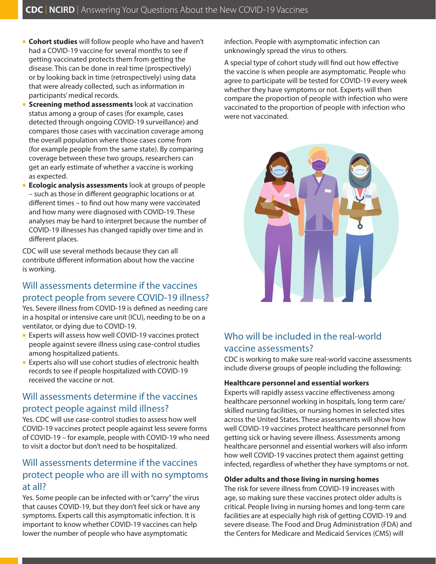- **Cohort studies** will follow people who have and haven't had a COVID-19 vaccine for several months to see if getting vaccinated protects them from getting the disease. This can be done in real time (prospectively) or by looking back in time (retrospectively) using data that were already collected, such as information in participants' medical records.
- **Screening method assessments** look at vaccination status among a group of cases (for example, cases detected through ongoing COVID-19 surveillance) and compares those cases with vaccination coverage among the overall population where those cases come from (for example people from the same state). By comparing coverage between these two groups, researchers can get an early estimate of whether a vaccine is working as expected.
- **Ecologic analysis assessments** look at groups of people – such as those in different geographic locations or at different times – to find out how many were vaccinated and how many were diagnosed with COVID-19. These analyses may be hard to interpret because the number of COVID-19 illnesses has changed rapidly over time and in different places.

CDC will use several methods because they can all contribute different information about how the vaccine is working.

## Will assessments determine if the vaccines protect people from severe COVID-19 illness?

Yes. Severe illness from COVID-19 is defined as needing care in a hospital or intensive care unit (ICU), needing to be on a ventilator, or dying due to COVID-19.

- **Experts will assess how well COVID-19 vaccines protect** people against severe illness using case-control studies among hospitalized patients.
- **Experts also will use cohort studies of electronic health** records to see if people hospitalized with COVID-19 received the vaccine or not.

## Will assessments determine if the vaccines protect people against mild illness?

Yes. CDC will use case-control studies to assess how well COVID-19 vaccines protect people against less severe forms of COVID-19 – for example, people with COVID-19 who need to visit a doctor but don't need to be hospitalized.

## Will assessments determine if the vaccines protect people who are ill with no symptoms at all?

Yes. Some people can be infected with or "carry" the virus that causes COVID-19, but they don't feel sick or have any symptoms. Experts call this asymptomatic infection. It is important to know whether COVID-19 vaccines can help lower the number of people who have asymptomatic

infection. People with asymptomatic infection can unknowingly spread the virus to others.

A special type of cohort study will find out how effective the vaccine is when people are asymptomatic. People who agree to participate will be tested for COVID-19 every week whether they have symptoms or not. Experts will then compare the proportion of people with infection who were vaccinated to the proportion of people with infection who were not vaccinated.



# Who will be included in the real-world vaccine assessments?

CDC is working to make sure real-world vaccine assessments include diverse groups of people including the following:

#### **Healthcare personnel and essential workers**

Experts will rapidly assess vaccine effectiveness among healthcare personnel working in hospitals, long term care/ skilled nursing facilities, or nursing homes in selected sites across the United States. These assessments will show how well COVID-19 vaccines protect healthcare personnel from getting sick or having severe illness. Assessments among healthcare personnel and essential workers will also inform how well COVID-19 vaccines protect them against getting infected, regardless of whether they have symptoms or not.

#### **Older adults and those living in nursing homes**

The risk for severe illness from COVID-19 increases with age, so making sure these vaccines protect older adults is critical. People living in nursing homes and long-term care facilities are at especially high risk of getting COVID-19 and severe disease. The Food and Drug Administration (FDA) and the Centers for Medicare and Medicaid Services (CMS) will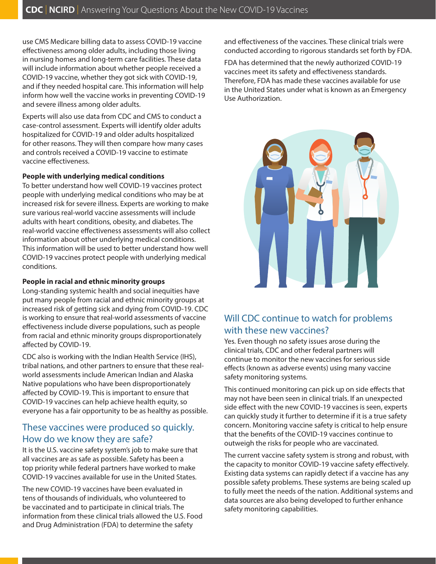use CMS Medicare billing data to assess COVID-19 vaccine effectiveness among older adults, including those living in nursing homes and long-term care facilities. These data will include information about whether people received a COVID-19 vaccine, whether they got sick with COVID-19, and if they needed hospital care. This information will help inform how well the vaccine works in preventing COVID-19 and severe illness among older adults.

Experts will also use data from CDC and CMS to conduct a case-control assessment. Experts will identify older adults hospitalized for COVID-19 and older adults hospitalized for other reasons. They will then compare how many cases and controls received a COVID-19 vaccine to estimate vaccine effectiveness.

#### **People with underlying medical conditions**

To better understand how well COVID-19 vaccines protect people with underlying medical conditions who may be at increased risk for severe illness. Experts are working to make sure various real-world vaccine assessments will include adults with heart conditions, obesity, and diabetes. The real-world vaccine effectiveness assessments will also collect information about other underlying medical conditions. This information will be used to better understand how well COVID-19 vaccines protect people with underlying medical conditions.

#### **People in racial and ethnic minority groups**

Long-standing systemic health and social inequities have put many people from racial and ethnic minority groups at increased risk of getting sick and dying from COVID-19. CDC is working to ensure that real-world assessments of vaccine effectiveness include diverse populations, such as people from racial and ethnic minority groups disproportionately affected by COVID-19.

CDC also is working with the Indian Health Service (IHS), tribal nations, and other partners to ensure that these realworld assessments include American Indian and Alaska Native populations who have been disproportionately affected by COVID-19. This is important to ensure that COVID-19 vaccines can help achieve health equity, so everyone has a fair opportunity to be as healthy as possible.

## These vaccines were produced so quickly. How do we know they are safe?

It is the U.S. vaccine safety system's job to make sure that all vaccines are as safe as possible. Safety has been a top priority while federal partners have worked to make COVID-19 vaccines available for use in the United States.

The new COVID-19 vaccines have been evaluated in tens of thousands of individuals, who volunteered to be vaccinated and to participate in clinical trials. The information from these clinical trials allowed the U.S. Food and Drug Administration (FDA) to determine the safety

and effectiveness of the vaccines. These clinical trials were conducted according to rigorous standards set forth by FDA.

FDA has determined that the newly authorized COVID-19 vaccines meet its safety and effectiveness standards. Therefore, FDA has made these vaccines available for use in the United States under what is known as an Emergency Use Authorization.



# Will CDC continue to watch for problems with these new vaccines?

Yes. Even though no safety issues arose during the clinical trials, CDC and other federal partners will continue to monitor the new vaccines for serious side effects (known as adverse events) using many vaccine safety monitoring systems.

This continued monitoring can pick up on side effects that may not have been seen in clinical trials. If an unexpected side effect with the new COVID-19 vaccines is seen, experts can quickly study it further to determine if it is a true safety concern. Monitoring vaccine safety is critical to help ensure that the benefits of the COVID-19 vaccines continue to outweigh the risks for people who are vaccinated.

The current vaccine safety system is strong and robust, with the capacity to monitor COVID-19 vaccine safety effectively. Existing data systems can rapidly detect if a vaccine has any possible safety problems. These systems are being scaled up to fully meet the needs of the nation. Additional systems and data sources are also being developed to further enhance safety monitoring capabilities.